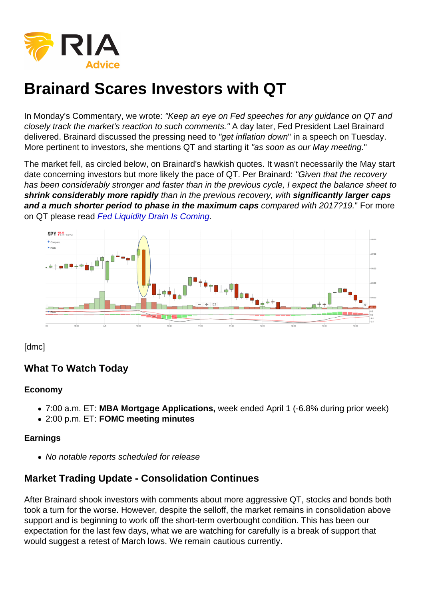# Brainard Scares Investors with QT

In Monday's Commentary, we wrote: "Keep an eye on Fed speeches for any guidance on QT and closely track the market's reaction to such comments." A day later, Fed President Lael Brainard delivered. Brainard discussed the pressing need to "get inflation down" in a speech on Tuesday. More pertinent to investors, she mentions QT and starting it "as soon as our May meeting."

The market fell, as circled below, on Brainard's hawkish quotes. It wasn't necessarily the May start date concerning investors but more likely the pace of QT. Per Brainard: "Given that the recovery has been considerably stronger and faster than in the previous cycle, I expect the balance sheet to shrink considerably more rapidly than in the previous recovery, with significantly larger caps and a much shorter period to phase in the maximum caps compared with 2017?19." For more on QT please read [Fed Liquidity Drain Is Coming](https://realinvestmentadvice.com/fed-liquidity-drain-is-coming).

[dmc]

What To Watch Today

Economy

- 7:00 a.m. ET: MBA Mortgage Applications, week ended April 1 (-6.8% during prior week)
- 2:00 p.m. ET: FOMC meeting minutes

Earnings

No notable reports scheduled for release

# Market Trading Update - Consolidation Continues

After Brainard shook investors with comments about more aggressive QT, stocks and bonds both took a turn for the worse. However, despite the selloff, the market remains in consolidation above support and is beginning to work off the short-term overbought condition. This has been our expectation for the last few days, what we are watching for carefully is a break of support that would suggest a retest of March lows. We remain cautious currently.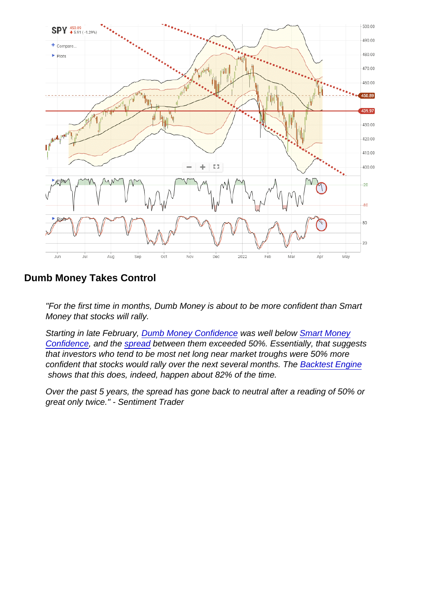Dumb Money Takes Control

"For the first time in months, Dumb Money is about to be more confident than Smart Money that stocks will rally.

Starting in late February, [Dumb Money Confidence](https://www.sentimentrader.com/users/charts/model_dumb_money) was well below [Smart Money](https://www.sentimentrader.com/users/charts/model_smart_money) [Confidence,](https://www.sentimentrader.com/users/charts/model_smart_money) and the [spread](https://www.sentimentrader.com/users/charts/model_smart_dumb_spread) between them exceeded 50%. Essentially, that suggests that investors who tend to be most net long near market troughs were 50% more confident that stocks would rally over the next several months. The [Backtest Engine](https://www.sentimentrader.com/users/backtest/?indicator_smoothing=0&index_filter=0&market_environment=0&index_ma_slope=0&lookback_period=16&observation_value=2&observation_period=4&indicator_condition=3&indicator_level=0.5&index=SPX&indicator=Smart+Money+/+Dumb+Money+Confidence+Spread) shows that this does, indeed, happen about 82% of the time.

Over the past 5 years, the spread has gone back to neutral after a reading of 50% or great only twice." - Sentiment Trader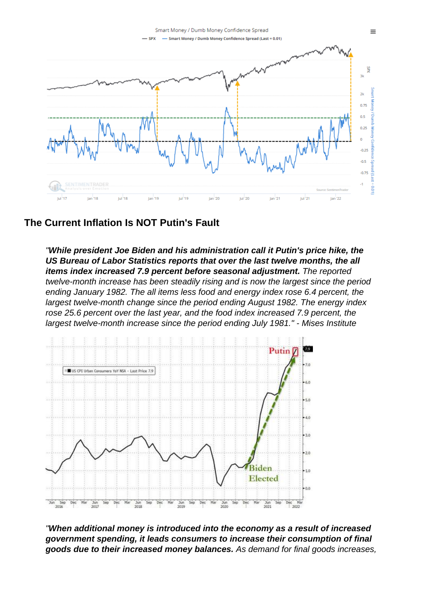## The Current Inflation Is NOT Putin's Fault

"While president Joe Biden and his administration call it Putin's price hike, the US Bureau of Labor Statistics reports that over the last twelve months, the all items index increased 7.9 percent before seasonal adjustment. The reported twelve-month increase has been steadily rising and is now the largest since the period ending January 1982. The all items less food and energy index rose 6.4 percent, the largest twelve-month change since the period ending August 1982. The energy index rose 25.6 percent over the last year, and the food index increased 7.9 percent, the largest twelve-month increase since the period ending July 1981." - Mises Institute

"When additional money is introduced into the economy as a result of increased government spending, it leads consumers to increase their consumption of final goods due to their increased money balances. As demand for final goods increases,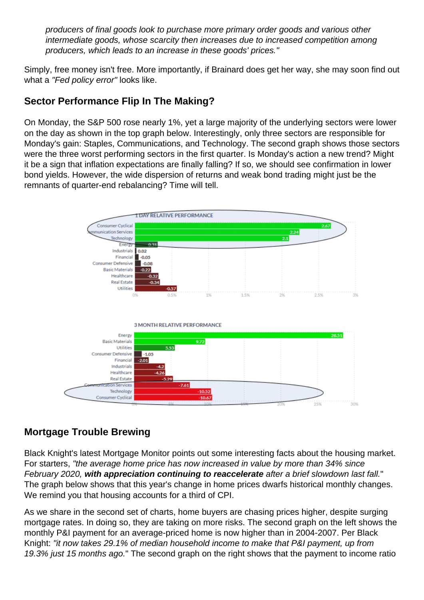producers of final goods look to purchase more primary order goods and various other intermediate goods, whose scarcity then increases due to increased competition among producers, which leads to an increase in these goods' prices."

Simply, free money isn't free. More importantly, if Brainard does get her way, she may soon find out what a "Fed policy error" looks like.

# Sector Performance Flip In The Making?

On Monday, the S&P 500 rose nearly 1%, yet a large majority of the underlying sectors were lower on the day as shown in the top graph below. Interestingly, only three sectors are responsible for Monday's gain: Staples, Communications, and Technology. The second graph shows those sectors were the three worst performing sectors in the first quarter. Is Monday's action a new trend? Might it be a sign that inflation expectations are finally falling? If so, we should see confirmation in lower bond yields. However, the wide dispersion of returns and weak bond trading might just be the remnants of quarter-end rebalancing? Time will tell.

## Mortgage Trouble Brewing

Black Knight's latest Mortgage Monitor points out some interesting facts about the housing market. For starters, "the average home price has now increased in value by more than 34% since February 2020, with appreciation continuing to reaccelerate after a brief slowdown last fall." The graph below shows that this year's change in home prices dwarfs historical monthly changes. We remind you that housing accounts for a third of CPI.

As we share in the second set of charts, home buyers are chasing prices higher, despite surging mortgage rates. In doing so, they are taking on more risks. The second graph on the left shows the monthly P&I payment for an average-priced home is now higher than in 2004-2007. Per Black Knight: "it now takes 29.1% of median household income to make that P&I payment, up from 19.3% just 15 months ago." The second graph on the right shows that the payment to income ratio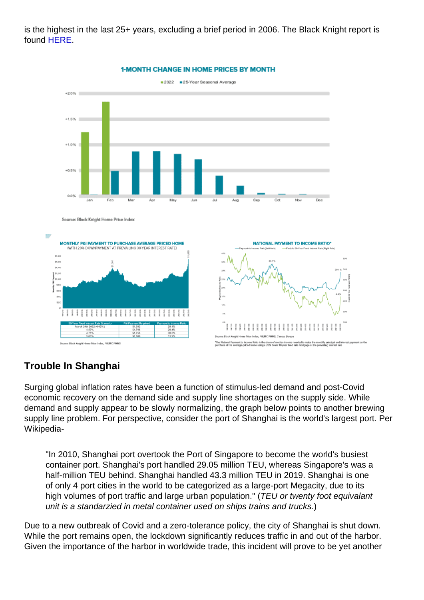is the highest in the last 25+ years, excluding a brief period in 2006. The Black Knight report is found [HERE.](https://www.blackknightinc.com/wp-content/uploads/2022/04/BKI_MM_Feb2022_Report.pdf?)

## Trouble In Shanghai

Surging global inflation rates have been a function of stimulus-led demand and post-Covid economic recovery on the demand side and supply line shortages on the supply side. While demand and supply appear to be slowly normalizing, the graph below points to another brewing supply line problem. For perspective, consider the port of Shanghai is the world's largest port. Per Wikipedia-

"In 2010, Shanghai port overtook the Port of Singapore to become the world's busiest container port. Shanghai's port handled 29.05 million TEU, whereas Singapore's was a half-million TEU behind. Shanghai handled 43.3 million TEU in 2019. Shanghai is one of only 4 port cities in the world to be categorized as a large-port Megacity, due to its high volumes of port traffic and large urban population." (TEU or twenty foot equivalant unit is a standarzied in metal container used on ships trains and trucks.)

Due to a new outbreak of Covid and a zero-tolerance policy, the city of Shanghai is shut down. While the port remains open, the lockdown significantly reduces traffic in and out of the harbor. Given the importance of the harbor in worldwide trade, this incident will prove to be yet another